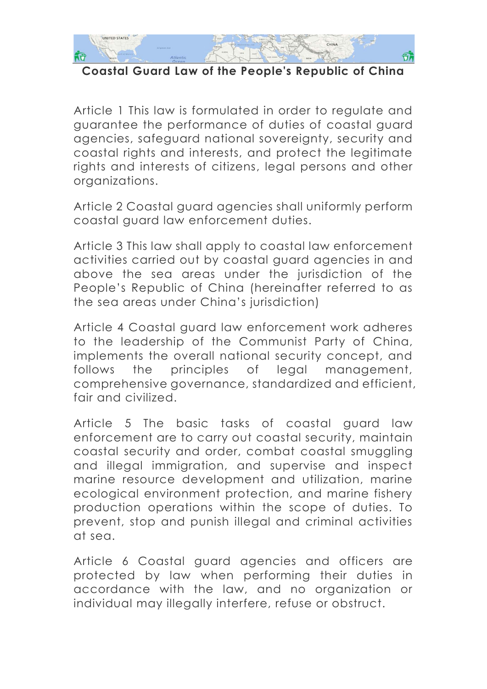

**Coastal Guard Law of the People's Republic of China**

Article 1 This law is formulated in order to regulate and guarantee the performance of duties of coastal guard agencies, safeguard national sovereignty, security and coastal rights and interests, and protect the legitimate rights and interests of citizens, legal persons and other organizations.

Article 2 Coastal guard agencies shall uniformly perform coastal guard law enforcement duties.

Article 3 This law shall apply to coastal law enforcement activities carried out by coastal guard agencies in and above the sea areas under the jurisdiction of the People's Republic of China (hereinafter referred to as the sea areas under China's jurisdiction)

Article 4 Coastal guard law enforcement work adheres to the leadership of the Communist Party of China, implements the overall national security concept, and follows the principles of legal management, comprehensive governance, standardized and efficient, fair and civilized.

Article 5 The basic tasks of coastal guard law enforcement are to carry out coastal security, maintain coastal security and order, combat coastal smuggling and illegal immigration, and supervise and inspect marine resource development and utilization, marine ecological environment protection, and marine fishery production operations within the scope of duties. To prevent, stop and punish illegal and criminal activities at sea.

Article 6 Coastal guard agencies and officers are protected by law when performing their duties in accordance with the law, and no organization or individual may illegally interfere, refuse or obstruct.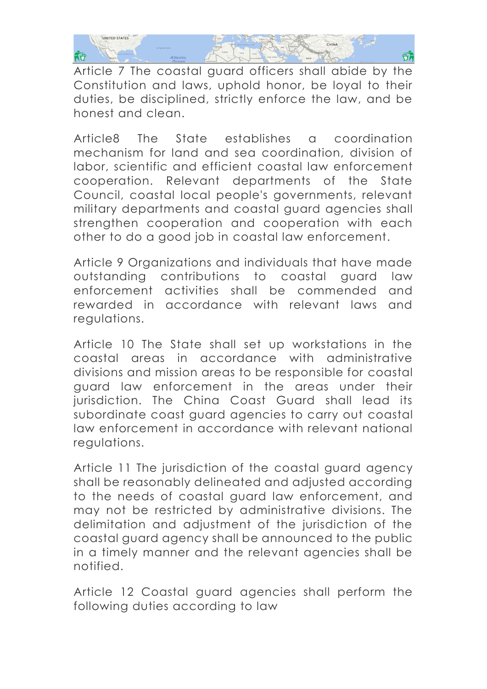

Article 7 The coastal guard officers shall abide by the Constitution and laws, uphold honor, be loyal to their duties, be disciplined, strictly enforce the law, and be honest and clean.

Article8 The State establishes a coordination mechanism for land and sea coordination, division of labor, scientific and efficient coastal law enforcement cooperation. Relevant departments of the State Council, coastal local people's governments, relevant military departments and coastal guard agencies shall strengthen cooperation and cooperation with each other to do a good job in coastal law enforcement.

Article 9 Organizations and individuals that have made outstanding contributions to coastal guard law enforcement activities shall be commended and rewarded in accordance with relevant laws and regulations.

Article 10 The State shall set up workstations in the coastal areas in accordance with administrative divisions and mission areas to be responsible for coastal guard law enforcement in the areas under their jurisdiction. The China Coast Guard shall lead its subordinate coast guard agencies to carry out coastal law enforcement in accordance with relevant national regulations.

Article 11 The jurisdiction of the coastal guard agency shall be reasonably delineated and adjusted according to the needs of coastal guard law enforcement, and may not be restricted by administrative divisions. The delimitation and adjustment of the jurisdiction of the coastal guard agency shall be announced to the public in a timely manner and the relevant agencies shall be notified.

Article 12 Coastal guard agencies shall perform the following duties according to law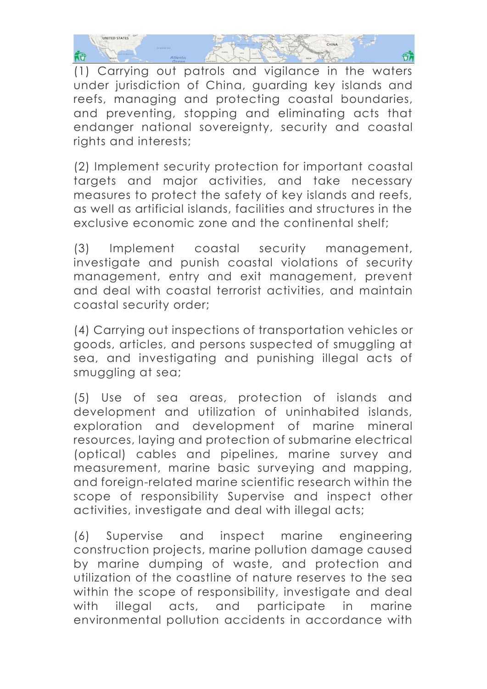

(1) Carrying out patrols and vigilance in the waters under jurisdiction of China, guarding key islands and reefs, managing and protecting coastal boundaries, and preventing, stopping and eliminating acts that endanger national sovereignty, security and coastal rights and interests:

(2) Implement security protection for important coastal targets and major activities, and take necessary measures to protect the safety of key islands and reefs, as well as artificial islands, facilities and structures in the exclusive economic zone and the continental shelf;

(3) Implement coastal security management, investigate and punish coastal violations of security management, entry and exit management, prevent and deal with coastal terrorist activities, and maintain coastal security order;

(4) Carrying out inspections of transportation vehicles or goods, articles, and persons suspected of smuggling at sea, and investigating and punishing illegal acts of smuggling at sea;

(5) Use of sea areas, protection of islands and development and utilization of uninhabited islands, exploration and development of marine mineral resources, laying and protection of submarine electrical (optical) cables and pipelines, marine survey and measurement, marine basic surveying and mapping, and foreign-related marine scientific research within the scope of responsibility Supervise and inspect other activities, investigate and deal with illegal acts;

(6) Supervise and inspect marine engineering construction projects, marine pollution damage caused by marine dumping of waste, and protection and utilization of the coastline of nature reserves to the sea within the scope of responsibility, investigate and deal with illegal acts, and participate in marine environmental pollution accidents in accordance with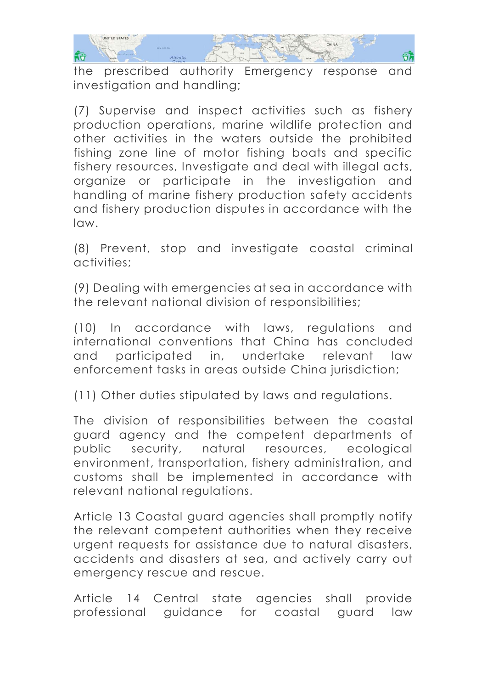

the prescribed authority Emergency response and investigation and handling;

(7) Supervise and inspect activities such as fishery production operations, marine wildlife protection and other activities in the waters outside the prohibited fishing zone line of motor fishing boats and specific fishery resources, Investigate and deal with illegal acts, organize or participate in the investigation and handling of marine fishery production safety accidents and fishery production disputes in accordance with the law.

(8) Prevent, stop and investigate coastal criminal activities;

(9) Dealing with emergencies at sea in accordance with the relevant national division of responsibilities;

(10) In accordance with laws, regulations and international conventions that China has concluded and participated in, undertake relevant law enforcement tasks in areas outside China jurisdiction;

(11) Other duties stipulated by laws and regulations.

The division of responsibilities between the coastal guard agency and the competent departments of public security, natural resources, ecological environment, transportation, fishery administration, and customs shall be implemented in accordance with relevant national regulations.

Article 13 Coastal guard agencies shall promptly notify the relevant competent authorities when they receive urgent requests for assistance due to natural disasters, accidents and disasters at sea, and actively carry out emergency rescue and rescue.

Article 14 Central state agencies shall provide professional guidance for coastal guard law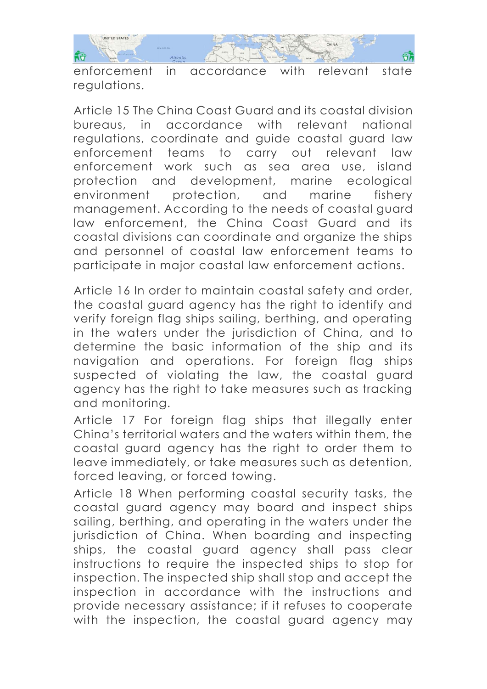

enforcement in accordance with relevant regulations.

Article 15 The China Coast Guard and its coastal division bureaus, in accordance with relevant national regulations, coordinate and guide coastal guard law enforcement teams to carry out relevant law enforcement work such as sea area use, island protection and development, marine ecological environment protection, and marine fishery management. According to the needs of coastal guard law enforcement, the China Coast Guard and its coastal divisions can coordinate and organize the ships and personnel of coastal law enforcement teams to participate in major coastal law enforcement actions.

Article 16 In order to maintain coastal safety and order, the coastal guard agency has the right to identify and verify foreign flag ships sailing, berthing, and operating in the waters under the jurisdiction of China, and to determine the basic information of the ship and its navigation and operations. For foreign flag ships suspected of violating the law, the coastal guard agency has the right to take measures such as tracking and monitoring.

Article 17 For foreign flag ships that illegally enter China's territorial waters and the waters within them, the coastal guard agency has the right to order them to leave immediately, or take measures such as detention, forced leaving, or forced towing.

Article 18 When performing coastal security tasks, the coastal guard agency may board and inspect ships sailing, berthing, and operating in the waters under the jurisdiction of China. When boarding and inspecting ships, the coastal guard agency shall pass clear instructions to require the inspected ships to stop for inspection. The inspected ship shall stop and accept the inspection in accordance with the instructions and provide necessary assistance; if it refuses to cooperate with the inspection, the coastal guard agency may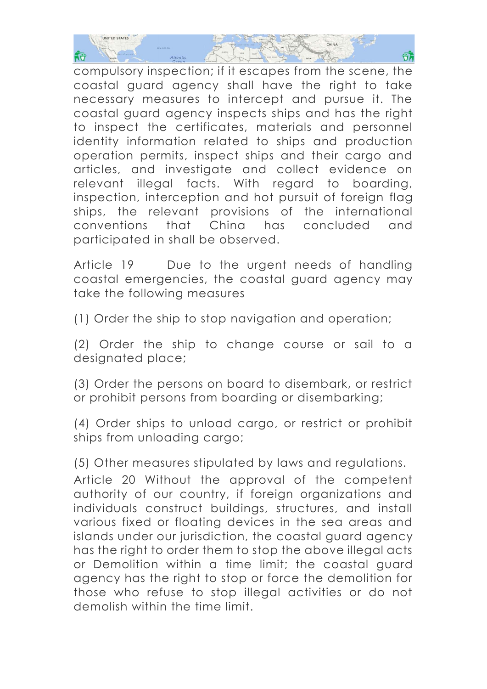

compulsory inspection; if it escapes from the scene, the coastal guard agency shall have the right to take necessary measures to intercept and pursue it. The coastal guard agency inspects ships and has the right to inspect the certificates, materials and personnel identity information related to ships and production operation permits, inspect ships and their cargo and articles, and investigate and collect evidence on relevant illegal facts. With regard to boarding, inspection, interception and hot pursuit of foreign flag ships, the relevant provisions of the international conventions that China has concluded and participated in shall be observed.

Article 19 Due to the urgent needs of handling coastal emergencies, the coastal guard agency may take the following measures

(1) Order the ship to stop navigation and operation;

(2) Order the ship to change course or sail to a designated place;

(3) Order the persons on board to disembark, or restrict or prohibit persons from boarding or disembarking;

(4) Order ships to unload cargo, or restrict or prohibit ships from unloading cargo;

(5) Other measures stipulated by laws and regulations.

Article 20 Without the approval of the competent authority of our country, if foreign organizations and individuals construct buildings, structures, and install various fixed or floating devices in the sea areas and islands under our jurisdiction, the coastal guard agency has the right to order them to stop the above illegal acts or Demolition within a time limit; the coastal guard agency has the right to stop or force the demolition for those who refuse to stop illegal activities or do not demolish within the time limit.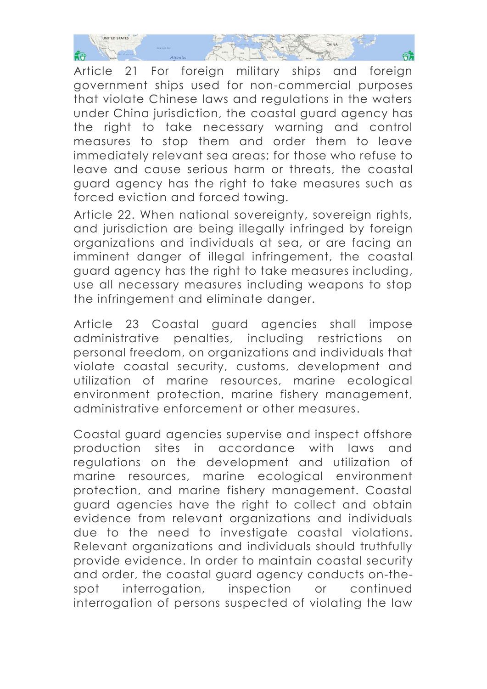

Article 21 For foreign military ships and foreign government ships used for non-commercial purposes that violate Chinese laws and regulations in the waters under China jurisdiction, the coastal guard agency has the right to take necessary warning and control measures to stop them and order them to leave immediately relevant sea areas; for those who refuse to leave and cause serious harm or threats, the coastal guard agency has the right to take measures such as forced eviction and forced towing.

Article 22. When national sovereignty, sovereign rights, and jurisdiction are being illegally infringed by foreign organizations and individuals at sea, or are facing an imminent danger of illegal infringement, the coastal guard agency has the right to take measures including, use all necessary measures including weapons to stop the infringement and eliminate danger.

Article 23 Coastal guard agencies shall impose administrative penalties, including restrictions on personal freedom, on organizations and individuals that violate coastal security, customs, development and utilization of marine resources, marine ecological environment protection, marine fishery management, administrative enforcement or other measures.

Coastal guard agencies supervise and inspect offshore production sites in accordance with laws and regulations on the development and utilization of marine resources, marine ecological environment protection, and marine fishery management. Coastal guard agencies have the right to collect and obtain evidence from relevant organizations and individuals due to the need to investigate coastal violations. Relevant organizations and individuals should truthfully provide evidence. In order to maintain coastal security and order, the coastal guard agency conducts on-thespot interrogation, inspection or continued interrogation of persons suspected of violating the law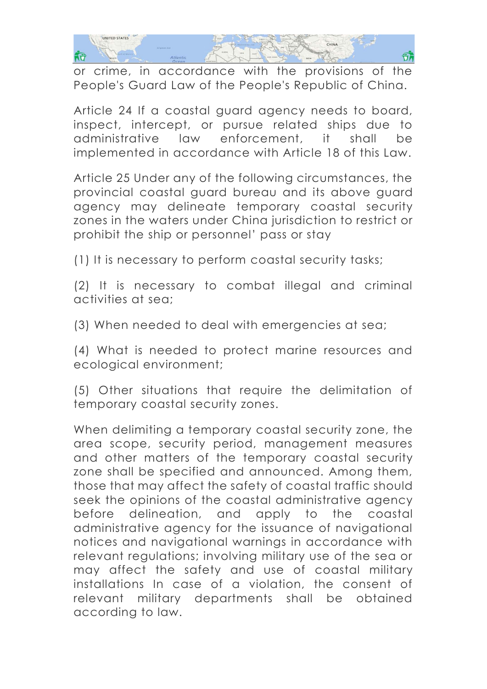

or crime, in accordance with the provisions of the People's Guard Law of the People's Republic of China.

Article 24 If a coastal guard agency needs to board, inspect, intercept, or pursue related ships due to administrative law enforcement, it shall be implemented in accordance with Article 18 of this Law.

Article 25 Under any of the following circumstances, the provincial coastal guard bureau and its above guard agency may delineate temporary coastal security zones in the waters under China jurisdiction to restrict or prohibit the ship or personnel' pass or stay

(1) It is necessary to perform coastal security tasks;

(2) It is necessary to combat illegal and criminal activities at sea;

(3) When needed to deal with emergencies at sea;

(4) What is needed to protect marine resources and ecological environment;

(5) Other situations that require the delimitation of temporary coastal security zones.

When delimiting a temporary coastal security zone, the area scope, security period, management measures and other matters of the temporary coastal security zone shall be specified and announced. Among them, those that may affect the safety of coastal traffic should seek the opinions of the coastal administrative agency before delineation, and apply to the coastal administrative agency for the issuance of navigational notices and navigational warnings in accordance with relevant regulations; involving military use of the sea or may affect the safety and use of coastal military installations In case of a violation, the consent of relevant military departments shall be obtained according to law.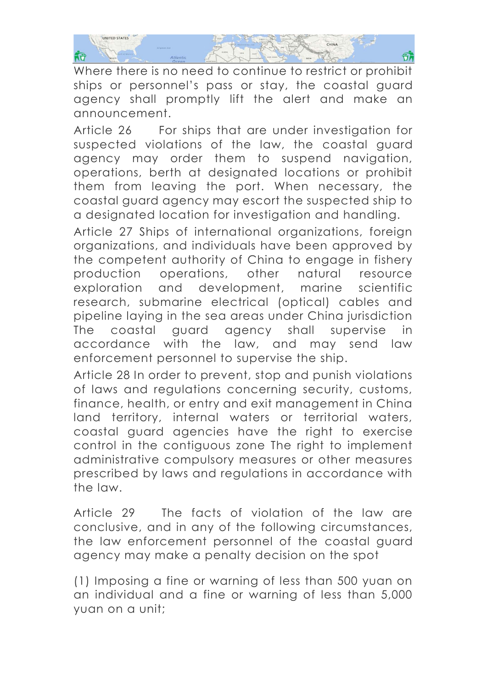

Where there is no need to continue to restrict or prohibit ships or personnel's pass or stay, the coastal guard agency shall promptly lift the alert and make an announcement.

Article 26 For ships that are under investigation for suspected violations of the law, the coastal guard agency may order them to suspend navigation, operations, berth at designated locations or prohibit them from leaving the port. When necessary, the coastal guard agency may escort the suspected ship to a designated location for investigation and handling.

Article 27 Ships of international organizations, foreign organizations, and individuals have been approved by the competent authority of China to engage in fishery production operations, other natural resource exploration and development, marine scientific research, submarine electrical (optical) cables and pipeline laying in the sea areas under China jurisdiction The coastal guard agency shall supervise in accordance with the law, and may send law enforcement personnel to supervise the ship.

Article 28 In order to prevent, stop and punish violations of laws and regulations concerning security, customs, finance, health, or entry and exit management in China land territory, internal waters or territorial waters, coastal guard agencies have the right to exercise control in the contiguous zone The right to implement administrative compulsory measures or other measures prescribed by laws and regulations in accordance with the law.

Article 29 The facts of violation of the law are conclusive, and in any of the following circumstances, the law enforcement personnel of the coastal guard agency may make a penalty decision on the spot

(1) Imposing a fine or warning of less than 500 yuan on an individual and a fine or warning of less than 5,000 yuan on a unit;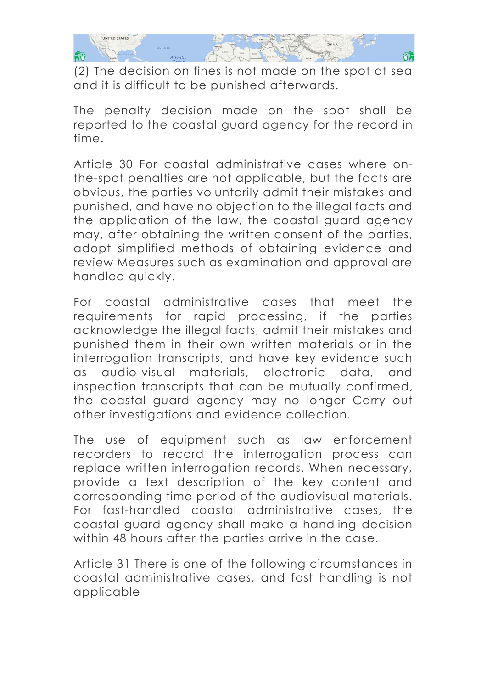

(2) The decision on fines is not made on the spot at sea and it is difficult to be punished afterwards.

The penalty decision made on the spot shall be reported to the coastal guard agency for the record in time.

Article 30 For coastal administrative cases where onthe-spot penalties are not applicable, but the facts are obvious, the parties voluntarily admit their mistakes and punished, and have no objection to the illegal facts and the application of the law, the coastal guard agency may, after obtaining the written consent of the parties, adopt simplified methods of obtaining evidence and review Measures such as examination and approval are handled quickly.

For coastal administrative cases that meet the requirements for rapid processing, if the parties acknowledge the illegal facts, admit their mistakes and punished them in their own written materials or in the interrogation transcripts, and have key evidence such as audio-visual materials, electronic data, and inspection transcripts that can be mutually confirmed, the coastal guard agency may no longer Carry out other investigations and evidence collection.

The use of equipment such as law enforcement recorders to record the interrogation process can replace written interrogation records. When necessary, provide a text description of the key content and corresponding time period of the audiovisual materials. For fast-handled coastal administrative cases, the coastal guard agency shall make a handling decision within 48 hours after the parties arrive in the case.

Article 31 There is one of the following circumstances in coastal administrative cases, and fast handling is not applicable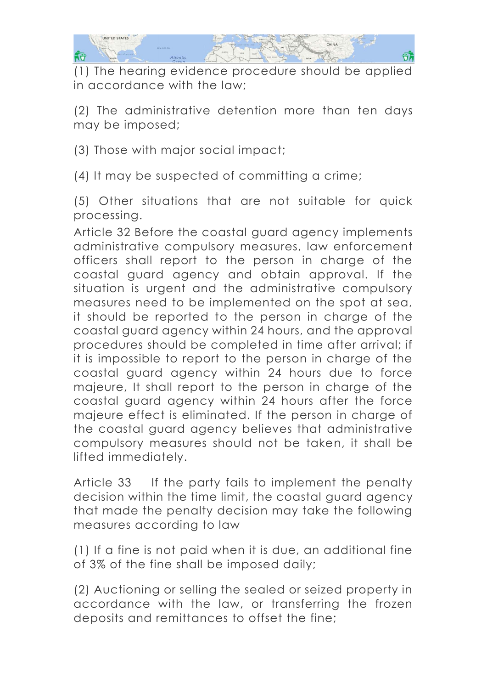

(1) The hearing evidence procedure should be applied in accordance with the law;

(2) The administrative detention more than ten days may be imposed;

(3) Those with major social impact;

(4) It may be suspected of committing a crime;

(5) Other situations that are not suitable for quick processing.

Article 32 Before the coastal guard agency implements administrative compulsory measures, law enforcement officers shall report to the person in charge of the coastal guard agency and obtain approval. If the situation is urgent and the administrative compulsory measures need to be implemented on the spot at sea, it should be reported to the person in charge of the coastal guard agency within 24 hours, and the approval procedures should be completed in time after arrival; if it is impossible to report to the person in charge of the coastal guard agency within 24 hours due to force majeure, It shall report to the person in charge of the coastal guard agency within 24 hours after the force majeure effect is eliminated. If the person in charge of the coastal guard agency believes that administrative compulsory measures should not be taken, it shall be lifted immediately.

Article 33 If the party fails to implement the penalty decision within the time limit, the coastal guard agency that made the penalty decision may take the following measures according to law

(1) If a fine is not paid when it is due, an additional fine of 3% of the fine shall be imposed daily;

(2) Auctioning or selling the sealed or seized property in accordance with the law, or transferring the frozen deposits and remittances to offset the fine;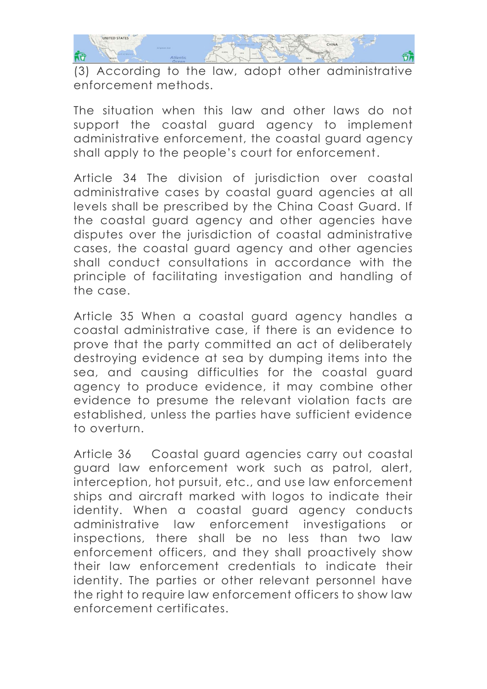

(3) According to the law, adopt other administrative enforcement methods.

The situation when this law and other laws do not support the coastal guard agency to implement administrative enforcement, the coastal guard agency shall apply to the people's court for enforcement.

Article 34 The division of jurisdiction over coastal administrative cases by coastal guard agencies at all levels shall be prescribed by the China Coast Guard. If the coastal guard agency and other agencies have disputes over the jurisdiction of coastal administrative cases, the coastal guard agency and other agencies shall conduct consultations in accordance with the principle of facilitating investigation and handling of the case.

Article 35 When a coastal guard agency handles a coastal administrative case, if there is an evidence to prove that the party committed an act of deliberately destroying evidence at sea by dumping items into the sea, and causing difficulties for the coastal guard agency to produce evidence, it may combine other evidence to presume the relevant violation facts are established, unless the parties have sufficient evidence to overturn.

Article 36 Coastal guard agencies carry out coastal guard law enforcement work such as patrol, alert, interception, hot pursuit, etc., and use law enforcement ships and aircraft marked with logos to indicate their identity. When a coastal guard agency conducts administrative law enforcement investigations or inspections, there shall be no less than two law enforcement officers, and they shall proactively show their law enforcement credentials to indicate their identity. The parties or other relevant personnel have the right to require law enforcement officers to show law enforcement certificates.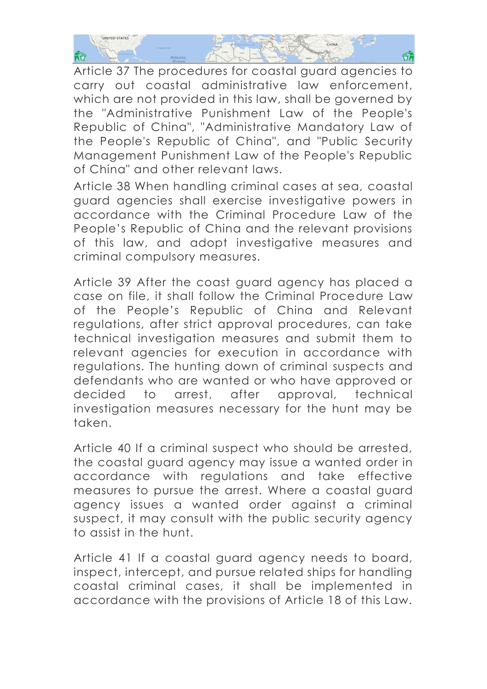

Article 37 The procedures for coastal guard agencies to carry out coastal administrative law enforcement, which are not provided in this law, shall be governed by the "Administrative Punishment Law of the People's Republic of China", "Administrative Mandatory Law of the People's Republic of China", and "Public Security Management Punishment Law of the People's Republic of China" and other relevant laws.

Article 38 When handling criminal cases at sea, coastal guard agencies shall exercise investigative powers in accordance with the Criminal Procedure Law of the People's Republic of China and the relevant provisions of this law, and adopt investigative measures and criminal compulsory measures.

Article 39 After the coast guard agency has placed a case on file, it shall follow the Criminal Procedure Law of the People's Republic of China and Relevant regulations, after strict approval procedures, can take technical investigation measures and submit them to relevant agencies for execution in accordance with regulations. The hunting down of criminal suspects and defendants who are wanted or who have approved or decided to arrest, after approval, technical investigation measures necessary for the hunt may be taken.

Article 40 If a criminal suspect who should be arrested, the coastal guard agency may issue a wanted order in accordance with regulations and take effective measures to pursue the arrest. Where a coastal guard agency issues a wanted order against a criminal suspect, it may consult with the public security agency to assist in the hunt.

Article 41 If a coastal guard agency needs to board, inspect, intercept, and pursue related ships for handling coastal criminal cases, it shall be implemented in accordance with the provisions of Article 18 of this Law.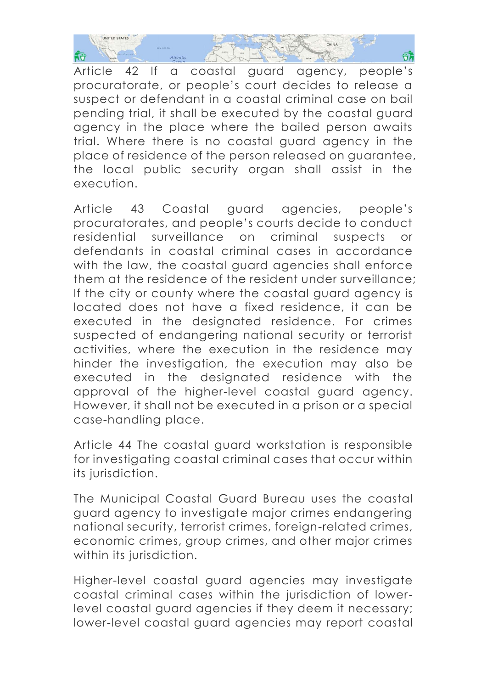

Article 42 If a coastal guard agency, people's procuratorate, or people's court decides to release a suspect or defendant in a coastal criminal case on bail pending trial, it shall be executed by the coastal guard agency in the place where the bailed person awaits trial. Where there is no coastal guard agency in the place of residence of the person released on guarantee, the local public security organ shall assist in the execution.

Article 43 Coastal guard agencies, people's procuratorates, and people's courts decide to conduct residential surveillance on criminal suspects or defendants in coastal criminal cases in accordance with the law, the coastal auard agencies shall enforce them at the residence of the resident under surveillance; If the city or county where the coastal guard agency is located does not have a fixed residence, it can be executed in the designated residence. For crimes suspected of endangering national security or terrorist activities, where the execution in the residence may hinder the investigation, the execution may also be executed in the designated residence with the approval of the higher-level coastal guard agency. However, it shall not be executed in a prison or a special case-handling place.

Article 44 The coastal guard workstation is responsible for investigating coastal criminal cases that occur within its jurisdiction.

The Municipal Coastal Guard Bureau uses the coastal guard agency to investigate major crimes endangering national security, terrorist crimes, foreign-related crimes, economic crimes, group crimes, and other major crimes within its jurisdiction.

Higher-level coastal guard agencies may investigate coastal criminal cases within the jurisdiction of lowerlevel coastal guard agencies if they deem it necessary; lower-level coastal guard agencies may report coastal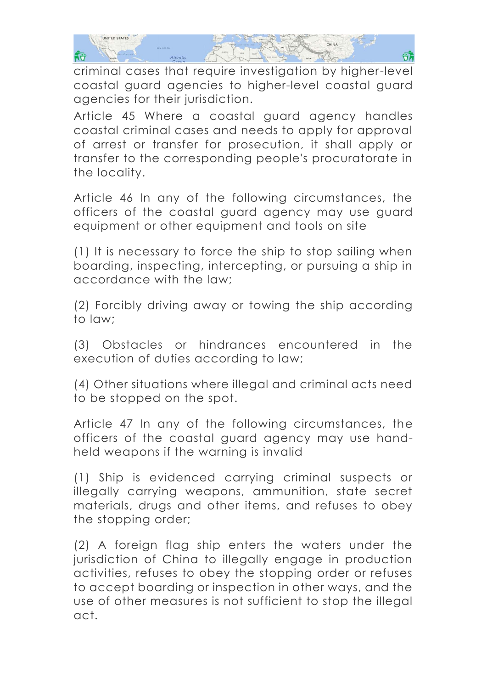

criminal cases that require investigation by higher-level coastal guard agencies to higher-level coastal guard agencies for their jurisdiction.

Article 45 Where a coastal guard agency handles coastal criminal cases and needs to apply for approval of arrest or transfer for prosecution, it shall apply or transfer to the corresponding people's procuratorate in the locality.

Article 46 In any of the following circumstances, the officers of the coastal guard agency may use guard equipment or other equipment and tools on site

(1) It is necessary to force the ship to stop sailing when boarding, inspecting, intercepting, or pursuing a ship in accordance with the law;

(2) Forcibly driving away or towing the ship according to law;

(3) Obstacles or hindrances encountered in the execution of duties according to law;

(4) Other situations where illegal and criminal acts need to be stopped on the spot.

Article 47 In any of the following circumstances, the officers of the coastal guard agency may use handheld weapons if the warning is invalid

(1) Ship is evidenced carrying criminal suspects or illegally carrying weapons, ammunition, state secret materials, drugs and other items, and refuses to obey the stopping order;

(2) A foreign flag ship enters the waters under the jurisdiction of China to illegally engage in production activities, refuses to obey the stopping order or refuses to accept boarding or inspection in other ways, and the use of other measures is not sufficient to stop the illegal act.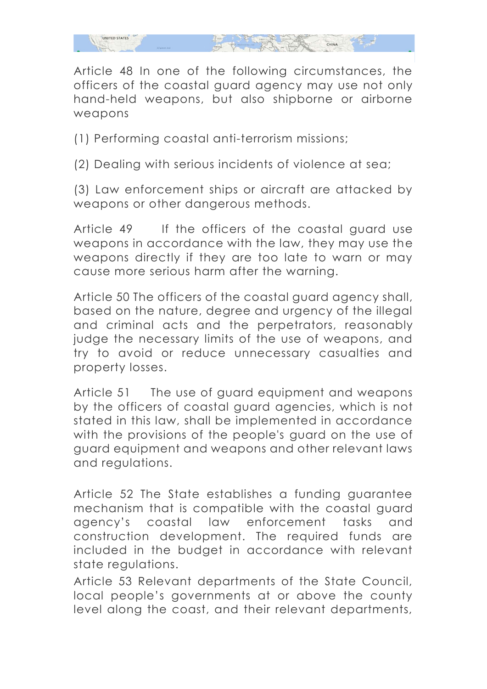

Article 48 In one of the following circumstances, the officers of the coastal guard agency may use not only hand-held weapons, but also shipborne or airborne weapons

(1) Performing coastal anti-terrorism missions;

(2) Dealing with serious incidents of violence at sea;

(3) Law enforcement ships or aircraft are attacked by weapons or other dangerous methods.

Article 49 If the officers of the coastal guard use weapons in accordance with the law, they may use the weapons directly if they are too late to warn or may cause more serious harm after the warning.

Article 50 The officers of the coastal guard agency shall, based on the nature, degree and urgency of the illegal and criminal acts and the perpetrators, reasonably judge the necessary limits of the use of weapons, and try to avoid or reduce unnecessary casualties and property losses.

Article 51 The use of guard equipment and weapons by the officers of coastal guard agencies, which is not stated in this law, shall be implemented in accordance with the provisions of the people's quard on the use of guard equipment and weapons and other relevant laws and regulations.

Article 52 The State establishes a funding guarantee mechanism that is compatible with the coastal guard agency's coastal law enforcement tasks and construction development. The required funds are included in the budget in accordance with relevant state regulations.

Article 53 Relevant departments of the State Council, local people's governments at or above the county level along the coast, and their relevant departments,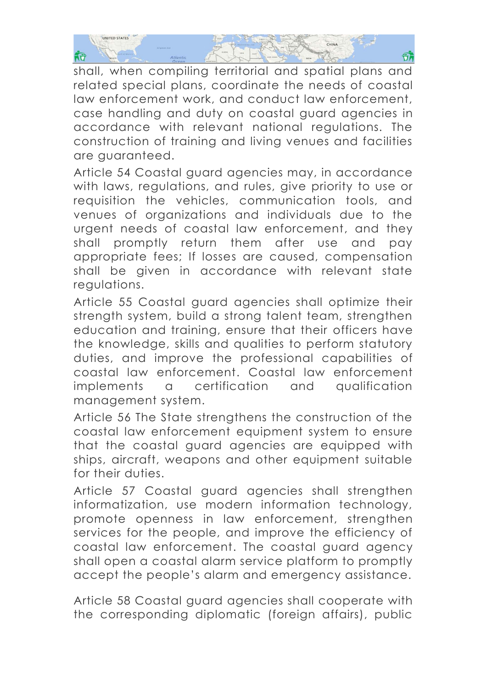

shall, when compiling territorial and spatial plans and related special plans, coordinate the needs of coastal law enforcement work, and conduct law enforcement, case handling and duty on coastal guard agencies in accordance with relevant national regulations. The construction of training and living venues and facilities are guaranteed.

Article 54 Coastal guard agencies may, in accordance with laws, regulations, and rules, give priority to use or requisition the vehicles, communication tools, and venues of organizations and individuals due to the urgent needs of coastal law enforcement, and they shall promptly return them after use and pay appropriate fees; If losses are caused, compensation shall be given in accordance with relevant state regulations.

Article 55 Coastal guard agencies shall optimize their strength system, build a strong talent team, strengthen education and training, ensure that their officers have the knowledge, skills and qualities to perform statutory duties, and improve the professional capabilities of coastal law enforcement. Coastal law enforcement implements a certification and qualification management system.

Article 56 The State strengthens the construction of the coastal law enforcement equipment system to ensure that the coastal guard agencies are equipped with ships, aircraft, weapons and other equipment suitable for their duties.

Article 57 Coastal guard agencies shall strengthen informatization, use modern information technology, promote openness in law enforcement, strengthen services for the people, and improve the efficiency of coastal law enforcement. The coastal guard agency shall open a coastal alarm service platform to promptly accept the people's alarm and emergency assistance.

Article 58 Coastal guard agencies shall cooperate with the corresponding diplomatic (foreign affairs), public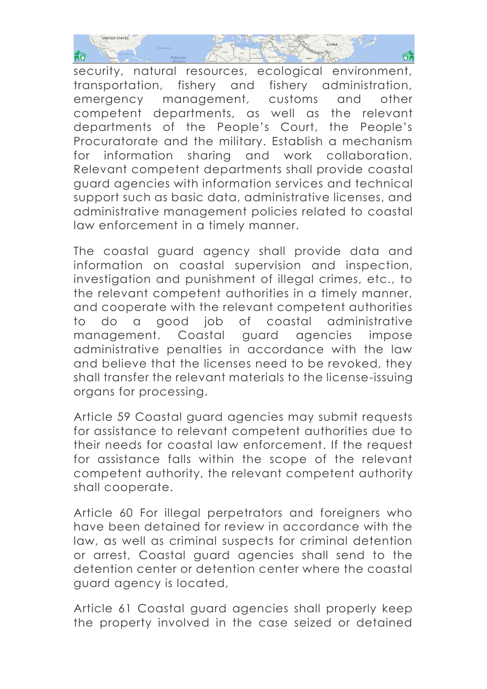

security, natural resources, ecological environment, transportation, fishery and fishery administration, emergency management, customs and other competent departments, as well as the relevant departments of the People's Court, the People's Procuratorate and the military. Establish a mechanism for information sharing and work collaboration. Relevant competent departments shall provide coastal guard agencies with information services and technical support such as basic data, administrative licenses, and administrative management policies related to coastal law enforcement in a timely manner.

The coastal guard agency shall provide data and information on coastal supervision and inspection, investigation and punishment of illegal crimes, etc., to the relevant competent authorities in a timely manner, and cooperate with the relevant competent authorities to do a good job of coastal administrative management. Coastal guard agencies impose administrative penalties in accordance with the law and believe that the licenses need to be revoked, they shall transfer the relevant materials to the license-issuing organs for processing.

Article 59 Coastal guard agencies may submit requests for assistance to relevant competent authorities due to their needs for coastal law enforcement. If the request for assistance falls within the scope of the relevant competent authority, the relevant competent authority shall cooperate.

Article 60 For illegal perpetrators and foreigners who have been detained for review in accordance with the law, as well as criminal suspects for criminal detention or arrest, Coastal guard agencies shall send to the detention center or detention center where the coastal guard agency is located,

Article 61 Coastal guard agencies shall properly keep the property involved in the case seized or detained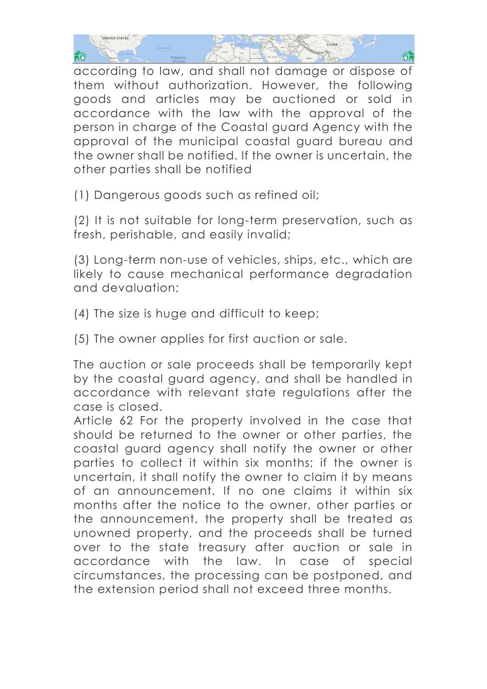

according to law, and shall not damage or dispose of them without authorization. However, the following goods and articles may be auctioned or sold in accordance with the law with the approval of the person in charge of the Coastal guard Agency with the approval of the municipal coastal guard bureau and the owner shall be notified. If the owner is uncertain, the other parties shall be notified

(1) Dangerous goods such as refined oil;

(2) It is not suitable for long-term preservation, such as fresh, perishable, and easily invalid;

(3) Long-term non-use of vehicles, ships, etc., which are likely to cause mechanical performance degradation and devaluation;

(4) The size is huge and difficult to keep;

(5) The owner applies for first auction or sale.

The auction or sale proceeds shall be temporarily kept by the coastal guard agency, and shall be handled in accordance with relevant state regulations after the case is closed.

Article 62 For the property involved in the case that should be returned to the owner or other parties, the coastal guard agency shall notify the owner or other parties to collect it within six months; if the owner is uncertain, it shall notify the owner to claim it by means of an announcement. If no one claims it within six months after the notice to the owner, other parties or the announcement, the property shall be treated as unowned property, and the proceeds shall be turned over to the state treasury after auction or sale in accordance with the law. In case of special circumstances, the processing can be postponed, and the extension period shall not exceed three months.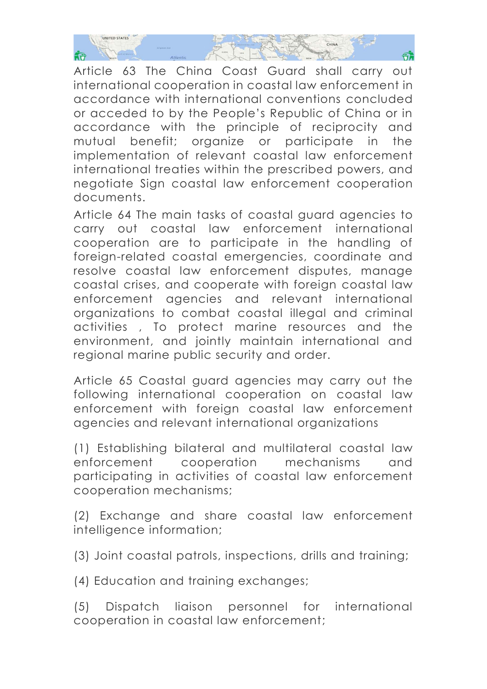

Article 63 The China Coast Guard shall carry out international cooperation in coastal law enforcement in accordance with international conventions concluded or acceded to by the People's Republic of China or in accordance with the principle of reciprocity and mutual benefit; organize or participate in the implementation of relevant coastal law enforcement international treaties within the prescribed powers, and negotiate Sign coastal law enforcement cooperation documents.

Article 64 The main tasks of coastal guard agencies to carry out coastal law enforcement international cooperation are to participate in the handling of foreign-related coastal emergencies, coordinate and resolve coastal law enforcement disputes, manage coastal crises, and cooperate with foreign coastal law enforcement agencies and relevant international organizations to combat coastal illegal and criminal activities , To protect marine resources and the environment, and jointly maintain international and regional marine public security and order.

Article 65 Coastal guard agencies may carry out the following international cooperation on coastal law enforcement with foreign coastal law enforcement agencies and relevant international organizations

(1) Establishing bilateral and multilateral coastal law enforcement cooperation mechanisms and participating in activities of coastal law enforcement cooperation mechanisms;

(2) Exchange and share coastal law enforcement intelligence information;

(3) Joint coastal patrols, inspections, drills and training;

(4) Education and training exchanges;

(5) Dispatch liaison personnel for international cooperation in coastal law enforcement;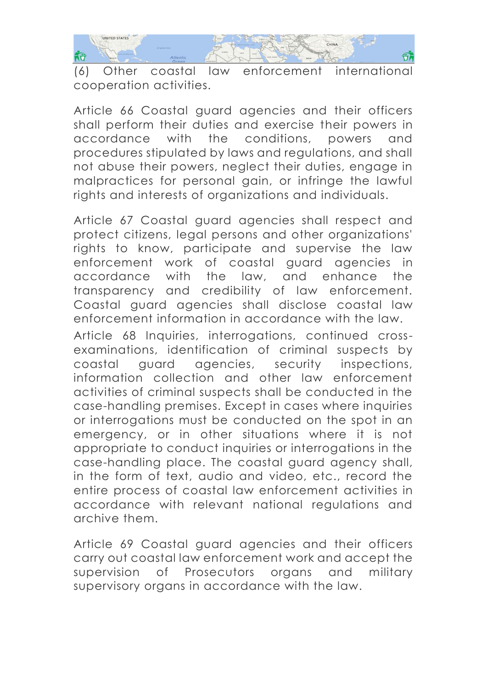

(6) Other coastal law enforcement international cooperation activities.

Article 66 Coastal guard agencies and their officers shall perform their duties and exercise their powers in accordance with the conditions, powers and procedures stipulated by laws and regulations, and shall not abuse their powers, neglect their duties, engage in malpractices for personal gain, or infringe the lawful rights and interests of organizations and individuals.

Article 67 Coastal guard agencies shall respect and protect citizens, legal persons and other organizations' rights to know, participate and supervise the law enforcement work of coastal guard agencies in accordance with the law, and enhance the transparency and credibility of law enforcement. Coastal guard agencies shall disclose coastal law enforcement information in accordance with the law.

Article 68 Inquiries, interrogations, continued crossexaminations, identification of criminal suspects by coastal guard agencies, security inspections, information collection and other law enforcement activities of criminal suspects shall be conducted in the case-handling premises. Except in cases where inquiries or interrogations must be conducted on the spot in an emergency, or in other situations where it is not appropriate to conduct inquiries or interrogations in the case-handling place. The coastal guard agency shall, in the form of text, audio and video, etc., record the entire process of coastal law enforcement activities in accordance with relevant national regulations and archive them.

Article 69 Coastal guard agencies and their officers carry out coastal law enforcement work and accept the supervision of Prosecutors organs and military supervisory organs in accordance with the law.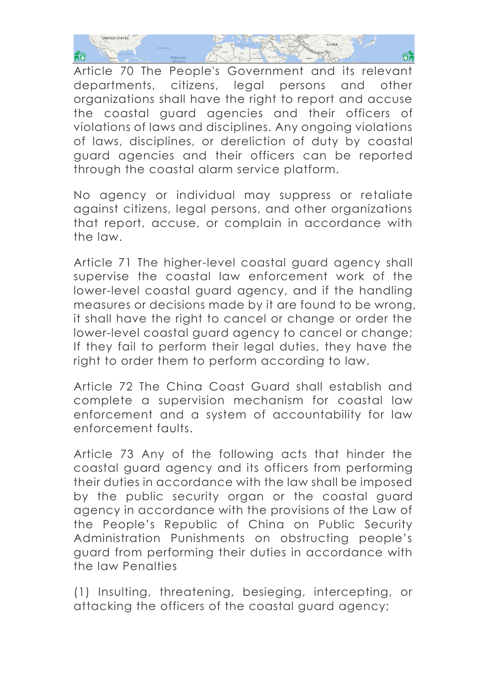

Article 70 The People's Government and its relevant departments, citizens, legal persons and other organizations shall have the right to report and accuse the coastal guard agencies and their officers of violations of laws and disciplines. Any ongoing violations of laws, disciplines, or dereliction of duty by coastal guard agencies and their officers can be reported through the coastal alarm service platform.

No agency or individual may suppress or retaliate against citizens, legal persons, and other organizations that report, accuse, or complain in accordance with the law.

Article 71 The higher-level coastal guard agency shall supervise the coastal law enforcement work of the lower-level coastal guard agency, and if the handling measures or decisions made by it are found to be wrong, it shall have the right to cancel or change or order the lower-level coastal guard agency to cancel or change; If they fail to perform their legal duties, they have the right to order them to perform according to law.

Article 72 The China Coast Guard shall establish and complete a supervision mechanism for coastal law enforcement and a system of accountability for law enforcement faults.

Article 73 Any of the following acts that hinder the coastal guard agency and its officers from performing their duties in accordance with the law shall be imposed by the public security organ or the coastal guard agency in accordance with the provisions of the Law of the People's Republic of China on Public Security Administration Punishments on obstructing people's guard from performing their duties in accordance with the law Penalties

(1) Insulting, threatening, besieging, intercepting, or attacking the officers of the coastal guard agency;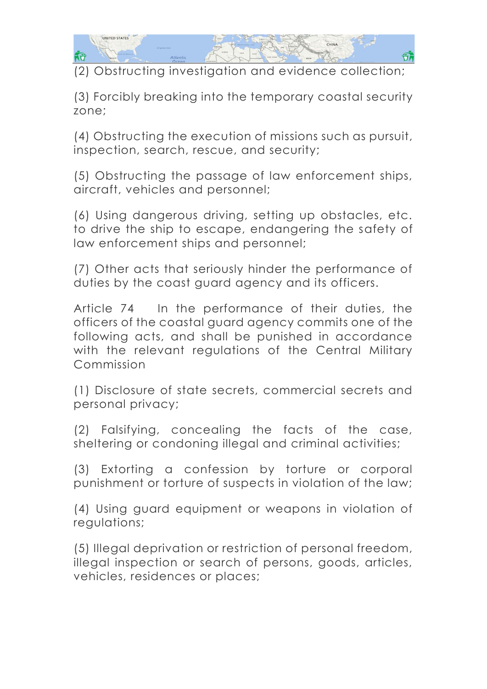

(2) Obstructing investigation and evidence collection;

(3) Forcibly breaking into the temporary coastal security zone;

(4) Obstructing the execution of missions such as pursuit, inspection, search, rescue, and security;

(5) Obstructing the passage of law enforcement ships, aircraft, vehicles and personnel;

(6) Using dangerous driving, setting up obstacles, etc. to drive the ship to escape, endangering the safety of law enforcement ships and personnel;

(7) Other acts that seriously hinder the performance of duties by the coast guard agency and its officers.

Article 74 In the performance of their duties, the officers of the coastal guard agency commits one of the following acts, and shall be punished in accordance with the relevant regulations of the Central Military Commission

(1) Disclosure of state secrets, commercial secrets and personal privacy;

(2) Falsifying, concealing the facts of the case, sheltering or condoning illegal and criminal activities;

(3) Extorting a confession by torture or corporal punishment or torture of suspects in violation of the law;

(4) Using guard equipment or weapons in violation of regulations;

(5) Illegal deprivation or restriction of personal freedom, illegal inspection or search of persons, goods, articles, vehicles, residences or places;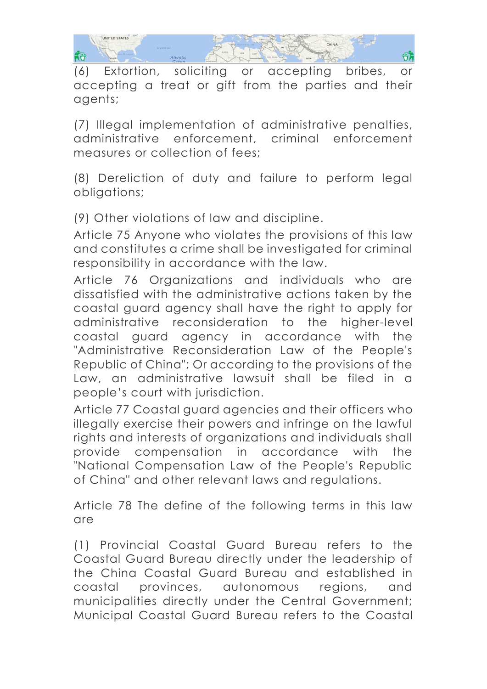

(6) Extortion, soliciting or accepting bribes, or accepting a treat or gift from the parties and their agents;

(7) Illegal implementation of administrative penalties, administrative enforcement, criminal enforcement measures or collection of fees;

(8) Dereliction of duty and failure to perform legal obligations;

(9) Other violations of law and discipline.

Article 75 Anyone who violates the provisions of this law and constitutes a crime shall be investigated for criminal responsibility in accordance with the law.

Article 76 Organizations and individuals who are dissatisfied with the administrative actions taken by the coastal guard agency shall have the right to apply for administrative reconsideration to the higher-level coastal guard agency in accordance with the "Administrative Reconsideration Law of the People's Republic of China"; Or according to the provisions of the Law, an administrative lawsuit shall be filed in a people's court with jurisdiction.

Article 77 Coastal guard agencies and their officers who illegally exercise their powers and infringe on the lawful rights and interests of organizations and individuals shall provide compensation in accordance with the "National Compensation Law of the People's Republic of China" and other relevant laws and regulations.

Article 78 The define of the following terms in this law are

(1) Provincial Coastal Guard Bureau refers to the Coastal Guard Bureau directly under the leadership of the China Coastal Guard Bureau and established in coastal provinces, autonomous regions, and municipalities directly under the Central Government; Municipal Coastal Guard Bureau refers to the Coastal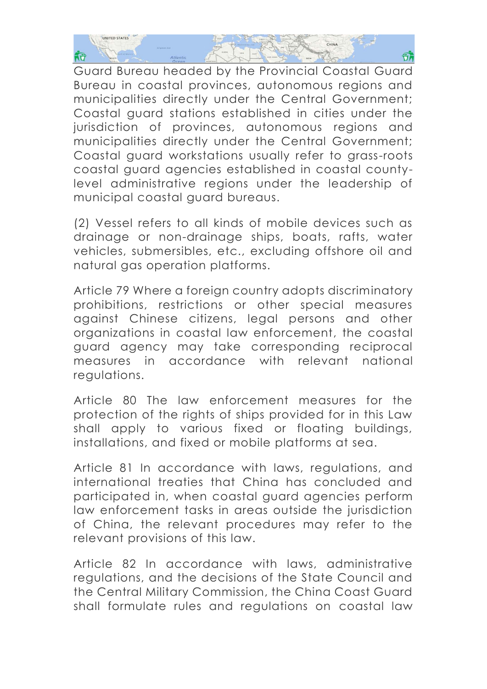

Guard Bureau headed by the Provincial Coastal Guard Bureau in coastal provinces, autonomous regions and municipalities directly under the Central Government; Coastal guard stations established in cities under the jurisdiction of provinces, autonomous regions and municipalities directly under the Central Government; Coastal guard workstations usually refer to grass-roots coastal guard agencies established in coastal countylevel administrative regions under the leadership of municipal coastal guard bureaus.

(2) Vessel refers to all kinds of mobile devices such as drainage or non-drainage ships, boats, rafts, water vehicles, submersibles, etc., excluding offshore oil and natural gas operation platforms.

Article 79 Where a foreign country adopts discriminatory prohibitions, restrictions or other special measures against Chinese citizens, legal persons and other organizations in coastal law enforcement, the coastal guard agency may take corresponding reciprocal measures in accordance with relevant national regulations.

Article 80 The law enforcement measures for the protection of the rights of ships provided for in this Law shall apply to various fixed or floating buildings, installations, and fixed or mobile platforms at sea.

Article 81 In accordance with laws, regulations, and international treaties that China has concluded and participated in, when coastal guard agencies perform law enforcement tasks in areas outside the jurisdiction of China, the relevant procedures may refer to the relevant provisions of this law.

Article 82 In accordance with laws, administrative regulations, and the decisions of the State Council and the Central Military Commission, the China Coast Guard shall formulate rules and regulations on coastal law